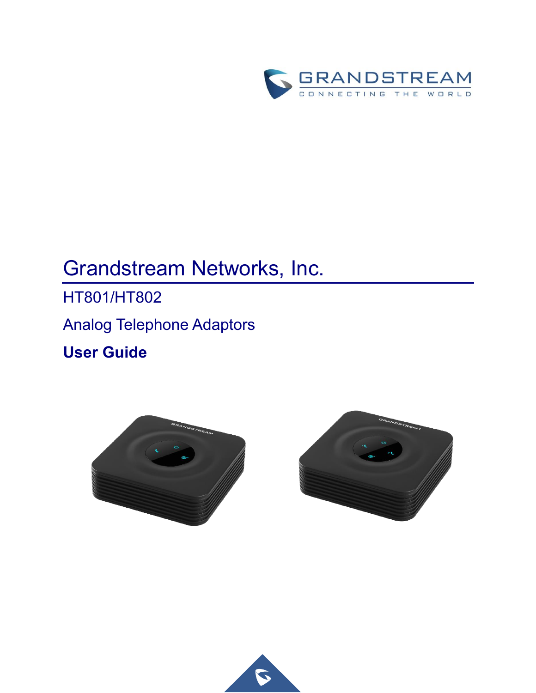

# Grandstream Networks, Inc.

HT801/HT802 Analog Telephone Adaptors **User Guide**





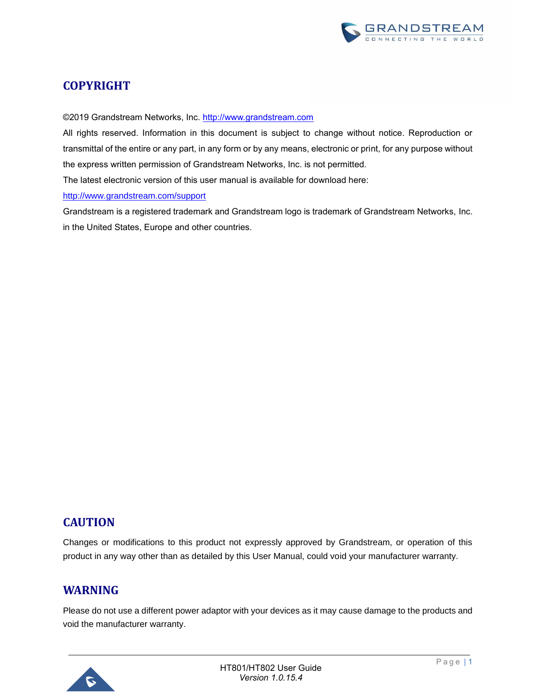

## **COPYRIGHT**

©2019 Grandstream Networks, Inc. [http://www.grandstream.com](http://www.grandstream.com/)

All rights reserved. Information in this document is subject to change without notice. Reproduction or transmittal of the entire or any part, in any form or by any means, electronic or print, for any purpose without the express written permission of Grandstream Networks, Inc. is not permitted.

The latest electronic version of this user manual is available for download here:

<http://www.grandstream.com/support>

Grandstream is a registered trademark and Grandstream logo is trademark of Grandstream Networks, Inc. in the United States, Europe and other countries.

## **CAUTION**

Changes or modifications to this product not expressly approved by Grandstream, or operation of this product in any way other than as detailed by this User Manual, could void your manufacturer warranty.

## **WARNING**

Please do not use a different power adaptor with your devices as it may cause damage to the products and void the manufacturer warranty.

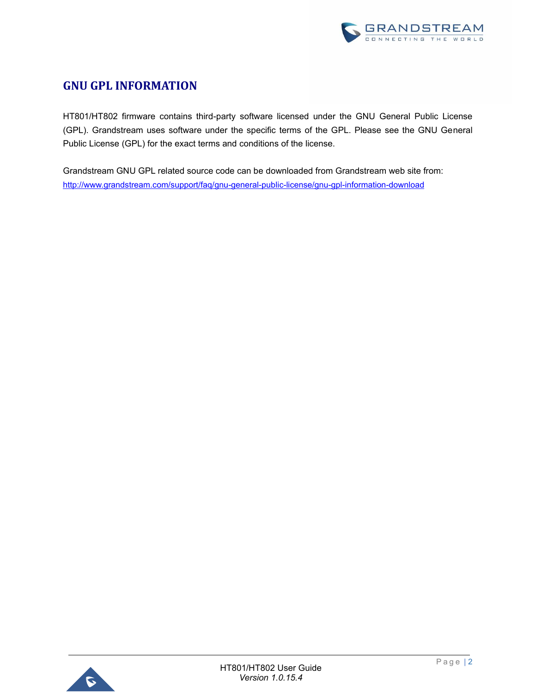

## **GNU GPL INFORMATION**

HT801/HT802 firmware contains third-party software licensed under the GNU General Public License (GPL). Grandstream uses software under the specific terms of the GPL. Please see the GNU General Public License (GPL) for the exact terms and conditions of the license.

Grandstream GNU GPL related source code can be downloaded from Grandstream web site from: <http://www.grandstream.com/support/faq/gnu-general-public-license/gnu-gpl-information-download>

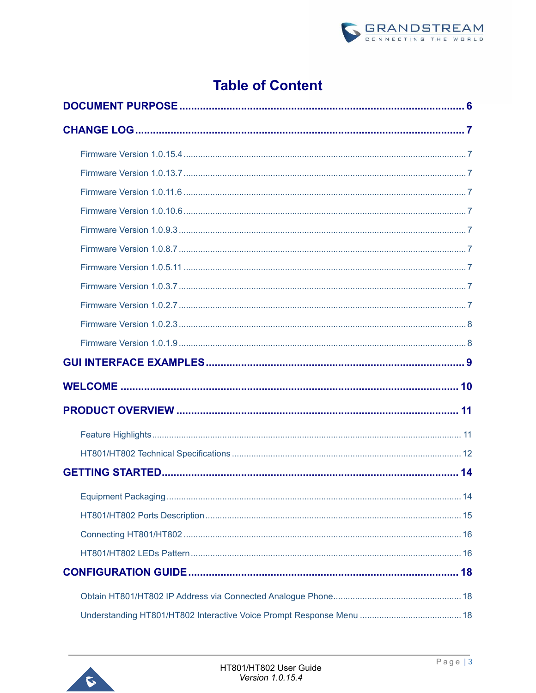

## **Table of Content**

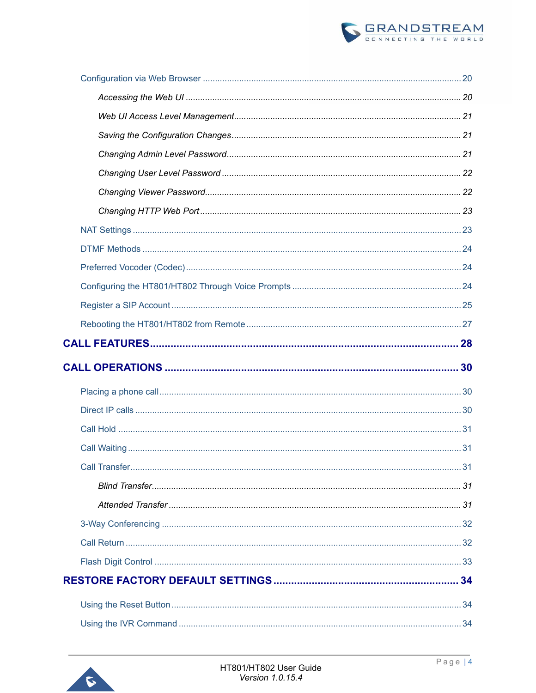

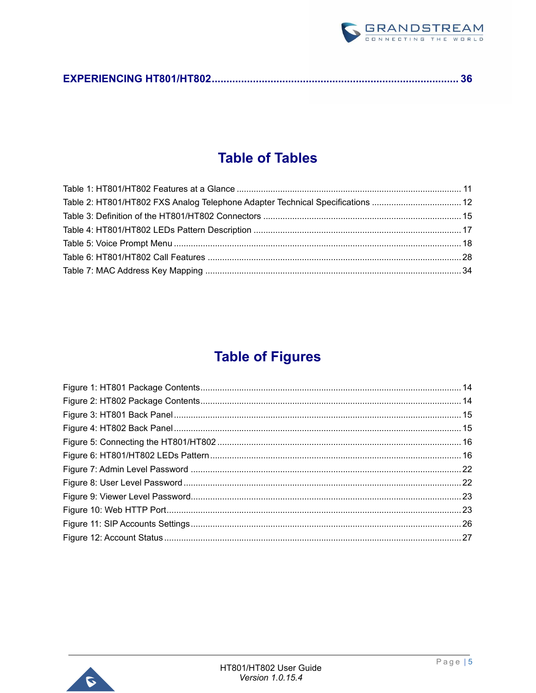

## **Table of Tables**

| Table 2: HT801/HT802 FXS Analog Telephone Adapter Technical Specifications  12 |
|--------------------------------------------------------------------------------|
|                                                                                |
|                                                                                |
|                                                                                |
|                                                                                |
|                                                                                |
|                                                                                |

## **Table of Figures**

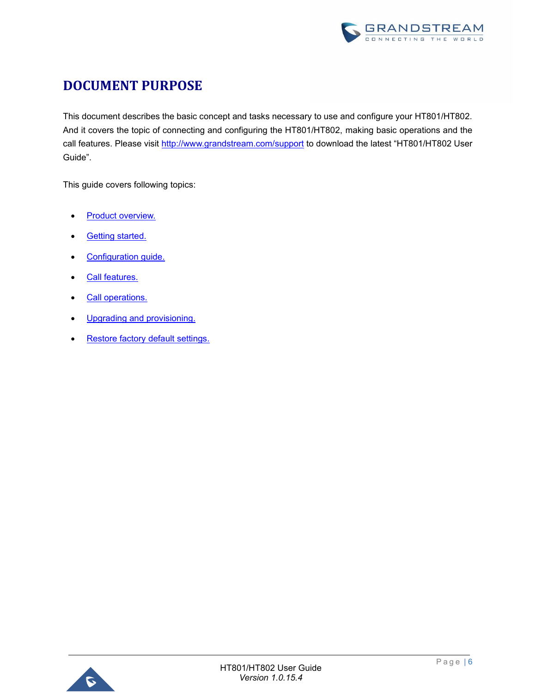

## <span id="page-6-0"></span>**DOCUMENT PURPOSE**

This document describes the basic concept and tasks necessary to use and configure your HT801/HT802. And it covers the topic of connecting and configuring the HT801/HT802, making basic operations and the call features. Please visit<http://www.grandstream.com/support> to download the latest "HT801/HT802 User Guide".

This guide covers following topics:

- Product overview.
- **[Getting started.](#page-14-0)**
- [Configuration guide.](#page-18-0)
- [Call features.](#page-28-0)
- [Call operations.](#page-30-0)
- [Upgrading and provisioning.](#page-30-0)
- [Restore factory default settings.](#page-34-0)

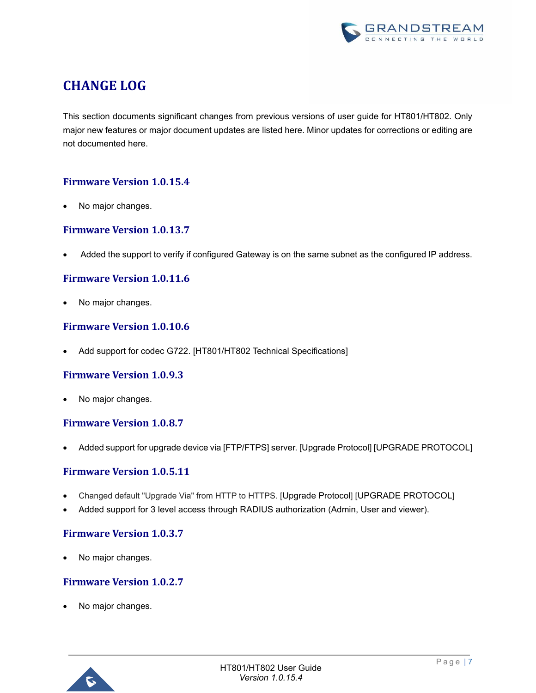

## <span id="page-7-0"></span>**CHANGE LOG**

This section documents significant changes from previous versions of user guide for HT801/HT802. Only major new features or major document updates are listed here. Minor updates for corrections or editing are not documented here.

## <span id="page-7-1"></span>**Firmware Version 1.0.15.4**

No major changes.

## <span id="page-7-2"></span>**Firmware Version 1.0.13.7**

<span id="page-7-3"></span>• Added the support to verify if configured Gateway is on the same subnet as the configured IP address.

### **Firmware Version 1.0.11.6**

No major changes.

## <span id="page-7-4"></span>**Firmware Version 1.0.10.6**

• Add support for codec G722. [\[HT801/HT802 Technical Specifications\]](#page-12-0)

### <span id="page-7-5"></span>**Firmware Version 1.0.9.3**

<span id="page-7-6"></span>• No major changes.

### **Firmware Version 1.0.8.7**

<span id="page-7-7"></span>• Added support for upgrade device via [FTP/FTPS] server. [\[Upgrade Protocol\]](#page-19-0) [\[UPGRADE PROTOCOL\]](#page-25-1)

### **Firmware Version 1.0.5.11**

- Changed default "Upgrade Via" from HTTP to HTTPS. [[Upgrade Protocol](#page-19-0)] [[UPGRADE PROTOCOL](#page-25-1)]
- Added support for 3 level access through RADIUS authorization (Admin, User and viewer).

### <span id="page-7-8"></span>**Firmware Version 1.0.3.7**

<span id="page-7-9"></span>No major changes.

## **Firmware Version 1.0.2.7**

No major changes.

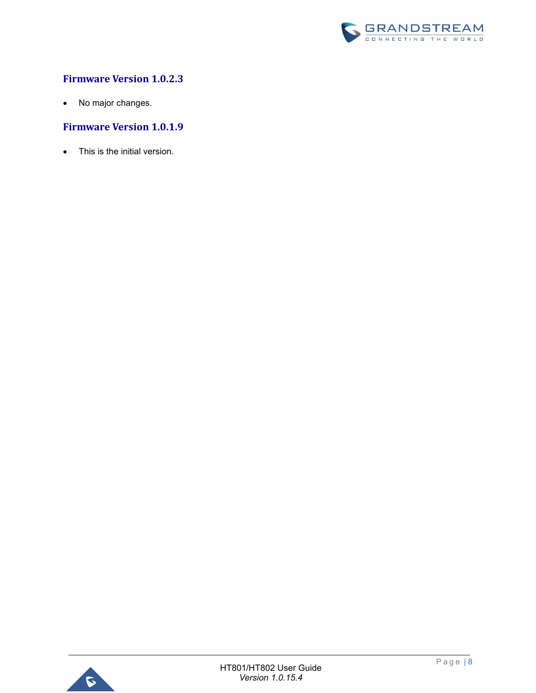

## <span id="page-8-0"></span>**Firmware Version 1.0.2.3**

• No major changes.

## <span id="page-8-1"></span>**Firmware Version 1.0.1.9**

• This is the initial version.

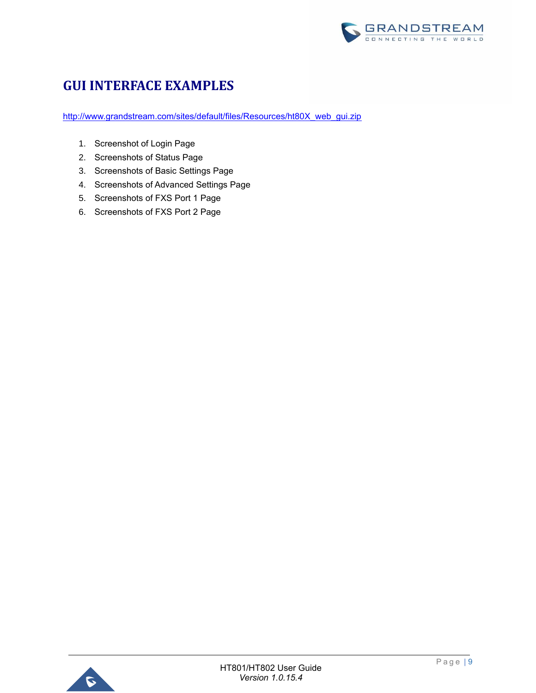

## <span id="page-9-0"></span>**GUI INTERFACE EXAMPLES**

[http://www.grandstream.com/sites/default/files/Resources/ht80X\\_web\\_gui.zip](http://www.grandstream.com/sites/default/files/Resources/ht80X_web_gui.zip)

- 1. Screenshot of Login Page
- 2. Screenshots of Status Page
- 3. Screenshots of Basic Settings Page
- 4. Screenshots of Advanced Settings Page
- 5. Screenshots of FXS Port 1 Page
- 6. Screenshots of FXS Port 2 Page

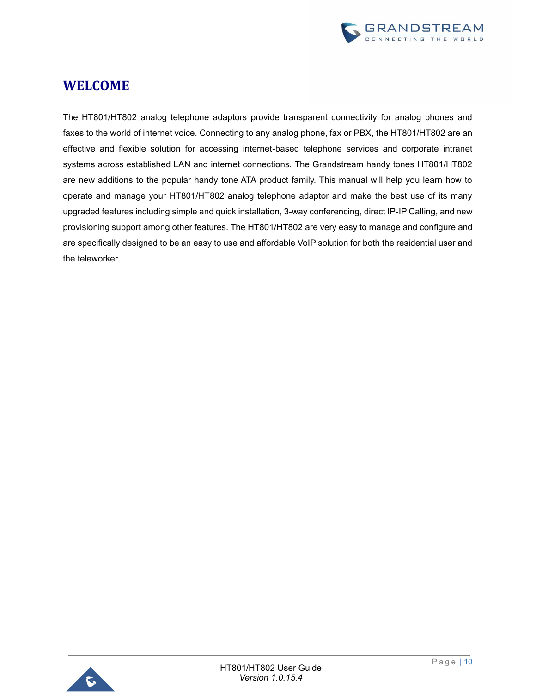

## <span id="page-10-0"></span>**WELCOME**

<span id="page-10-1"></span>The HT801/HT802 analog telephone adaptors provide transparent connectivity for analog phones and faxes to the world of internet voice. Connecting to any analog phone, fax or PBX, the HT801/HT802 are an effective and flexible solution for accessing internet-based telephone services and corporate intranet systems across established LAN and internet connections. The Grandstream handy tones HT801/HT802 are new additions to the popular handy tone ATA product family. This manual will help you learn how to operate and manage your HT801/HT802 analog telephone adaptor and make the best use of its many upgraded features including simple and quick installation, 3-way conferencing, direct IP-IP Calling, and new provisioning support among other features. The HT801/HT802 are very easy to manage and configure and are specifically designed to be an easy to use and affordable VoIP solution for both the residential user and the teleworker.

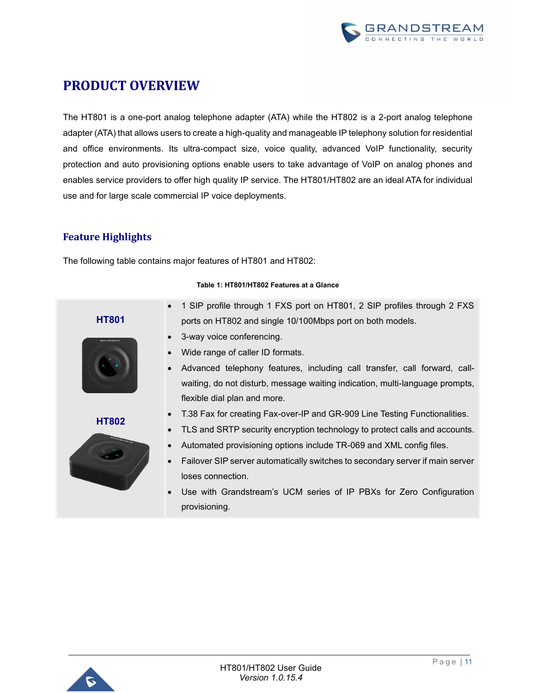

## <span id="page-11-0"></span>**PRODUCT OVERVIEW**

The HT801 is a one-port analog telephone adapter (ATA) while the HT802 is a 2-port analog telephone adapter (ATA) that allows users to create a high-quality and manageable IP telephony solution for residential and office environments. Its ultra-compact size, voice quality, advanced VoIP functionality, security protection and auto provisioning options enable users to take advantage of VoIP on analog phones and enables service providers to offer high quality IP service. The HT801/HT802 are an ideal ATA for individual use and for large scale commercial IP voice deployments.

## <span id="page-11-1"></span>**Feature Highlights**

The following table contains major features of HT801 and HT802:

<span id="page-11-2"></span>

#### **Table 1: HT801/HT802 Features at a Glance**

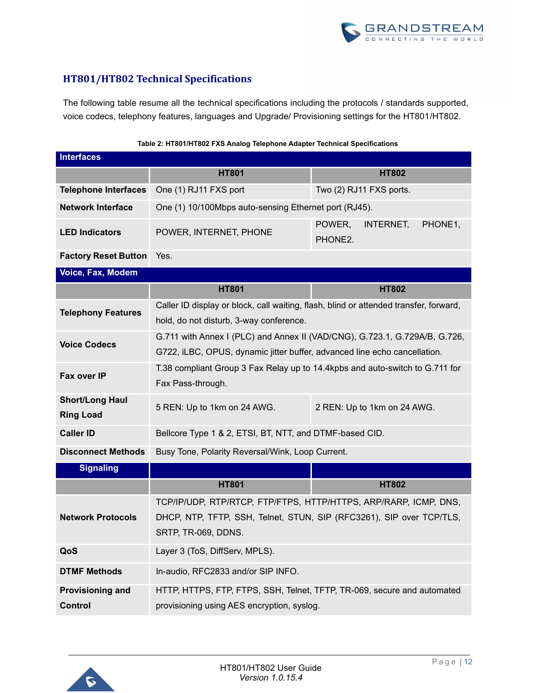

## <span id="page-12-0"></span>**HT801/HT802 Technical Specifications**

The following table resume all the technical specifications including the protocols / standards supported, voice codecs, telephony features, languages and Upgrade/ Provisioning settings for the HT801/HT802.

<span id="page-12-1"></span>

| <b>Interfaces</b>                          |                                                                                                                                                         |                                           |  |
|--------------------------------------------|---------------------------------------------------------------------------------------------------------------------------------------------------------|-------------------------------------------|--|
|                                            | <b>HT801</b><br><b>HT802</b>                                                                                                                            |                                           |  |
| <b>Telephone Interfaces</b>                | One (1) RJ11 FXS port<br>Two (2) RJ11 FXS ports.                                                                                                        |                                           |  |
| <b>Network Interface</b>                   | One (1) 10/100Mbps auto-sensing Ethernet port (RJ45).                                                                                                   |                                           |  |
| <b>LED Indicators</b>                      | POWER, INTERNET, PHONE                                                                                                                                  | POWER,<br>PHONE1,<br>INTERNET,<br>PHONE2. |  |
| <b>Factory Reset Button</b> Yes.           |                                                                                                                                                         |                                           |  |
| Voice, Fax, Modem                          |                                                                                                                                                         |                                           |  |
|                                            | <b>HT801</b>                                                                                                                                            | <b>HT802</b>                              |  |
| <b>Telephony Features</b>                  | Caller ID display or block, call waiting, flash, blind or attended transfer, forward,<br>hold, do not disturb, 3-way conference.                        |                                           |  |
| <b>Voice Codecs</b>                        | G.711 with Annex I (PLC) and Annex II (VAD/CNG), G.723.1, G.729A/B, G.726,<br>G722, iLBC, OPUS, dynamic jitter buffer, advanced line echo cancellation. |                                           |  |
| Fax over IP                                | T.38 compliant Group 3 Fax Relay up to 14.4kpbs and auto-switch to G.711 for<br>Fax Pass-through.                                                       |                                           |  |
| <b>Short/Long Haul</b><br><b>Ring Load</b> | 5 REN: Up to 1km on 24 AWG.<br>2 REN: Up to 1km on 24 AWG.                                                                                              |                                           |  |
| <b>Caller ID</b>                           | Bellcore Type 1 & 2, ETSI, BT, NTT, and DTMF-based CID.                                                                                                 |                                           |  |
| <b>Disconnect Methods</b>                  | Busy Tone, Polarity Reversal/Wink, Loop Current.                                                                                                        |                                           |  |
| <b>Signaling</b>                           |                                                                                                                                                         |                                           |  |
|                                            | <b>HT801</b>                                                                                                                                            | <b>HT802</b>                              |  |
|                                            | TCP/IP/UDP, RTP/RTCP, FTP/FTPS, HTTP/HTTPS, ARP/RARP, ICMP, DNS,                                                                                        |                                           |  |
| <b>Network Protocols</b>                   | DHCP, NTP, TFTP, SSH, Telnet, STUN, SIP (RFC3261), SIP over TCP/TLS,<br>SRTP, TR-069, DDNS.                                                             |                                           |  |
| QoS                                        | Layer 3 (ToS, DiffServ, MPLS).                                                                                                                          |                                           |  |
| <b>DTMF Methods</b>                        | In-audio, RFC2833 and/or SIP INFO.                                                                                                                      |                                           |  |
| <b>Provisioning and</b><br><b>Control</b>  | HTTP, HTTPS, FTP, FTPS, SSH, Telnet, TFTP, TR-069, secure and automated<br>provisioning using AES encryption, syslog.                                   |                                           |  |

#### **Table 2: HT801/HT802 FXS Analog Telephone Adapter Technical Specifications**

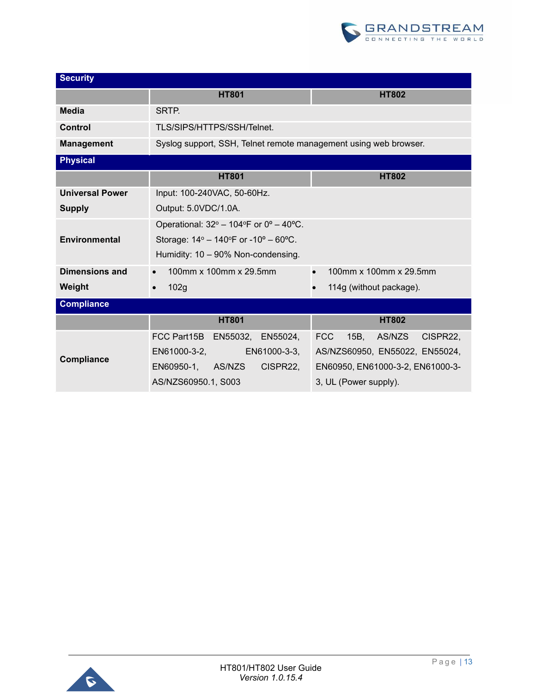

| <b>Security</b>        |                                                                        |                                          |  |
|------------------------|------------------------------------------------------------------------|------------------------------------------|--|
|                        | <b>HT801</b>                                                           | <b>HT802</b>                             |  |
| Media                  | SRTP.                                                                  |                                          |  |
| Control                | TLS/SIPS/HTTPS/SSH/Telnet.                                             |                                          |  |
| <b>Management</b>      | Syslog support, SSH, Telnet remote management using web browser.       |                                          |  |
| <b>Physical</b>        |                                                                        |                                          |  |
|                        | <b>HT801</b>                                                           | <b>HT802</b>                             |  |
| <b>Universal Power</b> | Input: 100-240VAC, 50-60Hz.                                            |                                          |  |
| <b>Supply</b>          | Output: 5.0VDC/1.0A.                                                   |                                          |  |
|                        | Operational: $32^{\circ}$ – 104°F or 0° – 40°C.                        |                                          |  |
| <b>Environmental</b>   | Storage: $14^{\circ} - 140^{\circ}$ F or $-10^{\circ} - 60^{\circ}$ C. |                                          |  |
|                        | Humidity: 10 - 90% Non-condensing.                                     |                                          |  |
| <b>Dimensions and</b>  | 100mm x 100mm x 29.5mm                                                 | 100mm x 100mm x 29.5mm<br>$\bullet$      |  |
| Weight                 | 102g<br>$\bullet$                                                      | 114g (without package).                  |  |
| <b>Compliance</b>      |                                                                        |                                          |  |
|                        | <b>HT801</b>                                                           | <b>HT802</b>                             |  |
|                        | FCC Part15B<br>EN55032,<br>EN55024,                                    | <b>FCC</b><br>15B,<br>AS/NZS<br>CISPR22. |  |
| <b>Compliance</b>      | EN61000-3-2,<br>EN61000-3-3,                                           | AS/NZS60950, EN55022, EN55024,           |  |
|                        | CISPR22,<br>EN60950-1,<br>AS/NZS                                       | EN60950, EN61000-3-2, EN61000-3-         |  |
|                        | AS/NZS60950.1, S003                                                    | 3, UL (Power supply).                    |  |

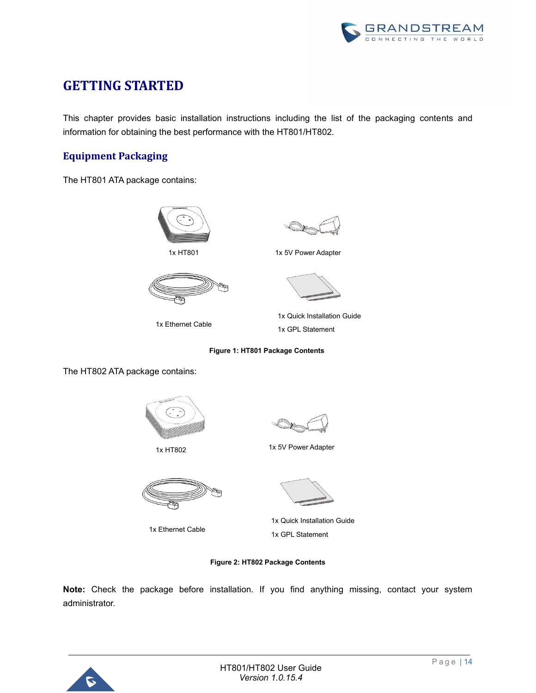

## <span id="page-14-0"></span>**GETTING STARTED**

This chapter provides basic installation instructions including the list of the packaging contents and information for obtaining the best performance with the HT801/HT802.

## <span id="page-14-1"></span>**Equipment Packaging**

The HT801 ATA package contains:







1x HT801 1x 5V Power Adapter



1x Ethernet Cable



1x Quick Installation Guide 1x GPL Statement

**Figure 1: HT801 Package Contents**

The HT802 ATA package contains:





1x Ethernet Cable



1x HT802 1x 5V Power Adapter



1x Quick Installation Guide 1x GPL Statement

#### **Figure 2: HT802 Package Contents**

<span id="page-14-2"></span>**Note:** Check the package before installation. If you find anything missing, contact your system administrator.

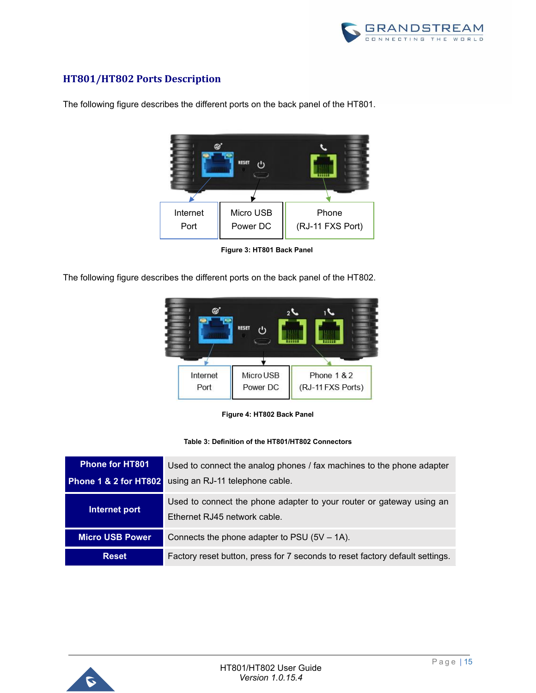

## <span id="page-15-0"></span>**HT801/HT802 Ports Description**



The following figure describes the different ports on the back panel of the HT801.

**Figure 3: HT801 Back Panel**

The following figure describes the different ports on the back panel of the HT802.



**Figure 4: HT802 Back Panel**

#### **Table 3: Definition of the HT801/HT802 Connectors**

<span id="page-15-2"></span><span id="page-15-1"></span>

| <b>Phone for HT801</b>           | Used to connect the analog phones / fax machines to the phone adapter                                |  |  |
|----------------------------------|------------------------------------------------------------------------------------------------------|--|--|
| <b>Phone 1 &amp; 2 for HT802</b> | using an RJ-11 telephone cable.                                                                      |  |  |
| Internet port                    | Used to connect the phone adapter to your router or gateway using an<br>Ethernet RJ45 network cable. |  |  |
| <b>Micro USB Power</b>           | Connects the phone adapter to PSU $(5V – 1A)$ .                                                      |  |  |
| <b>Reset</b>                     | Factory reset button, press for 7 seconds to reset factory default settings.                         |  |  |

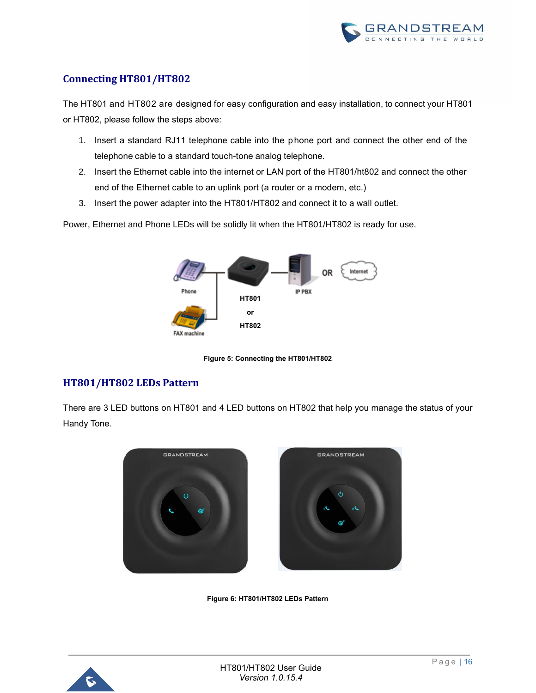

## <span id="page-16-0"></span>**Connecting HT801/HT802**

The HT801 and HT802 are designed for easy configuration and easy installation, to connect your HT801 or HT802, please follow the steps above:

- 1. Insert a standard RJ11 telephone cable into the phone port and connect the other end of the telephone cable to a standard touch-tone analog telephone.
- 2. Insert the Ethernet cable into the internet or LAN port of the HT801/ht802 and connect the other end of the Ethernet cable to an uplink port (a router or a modem, etc.)
- 3. Insert the power adapter into the HT801/HT802 and connect it to a wall outlet.

Power, Ethernet and Phone LEDs will be solidly lit when the HT801/HT802 is ready for use.



**Figure 5: Connecting the HT801/HT802**

## <span id="page-16-2"></span><span id="page-16-1"></span>**HT801/HT802 LEDs Pattern**

There are 3 LED buttons on HT801 and 4 LED buttons on HT802 that help you manage the status of your Handy Tone.



**Figure 6: HT801/HT802 LEDs Pattern**

<span id="page-16-3"></span>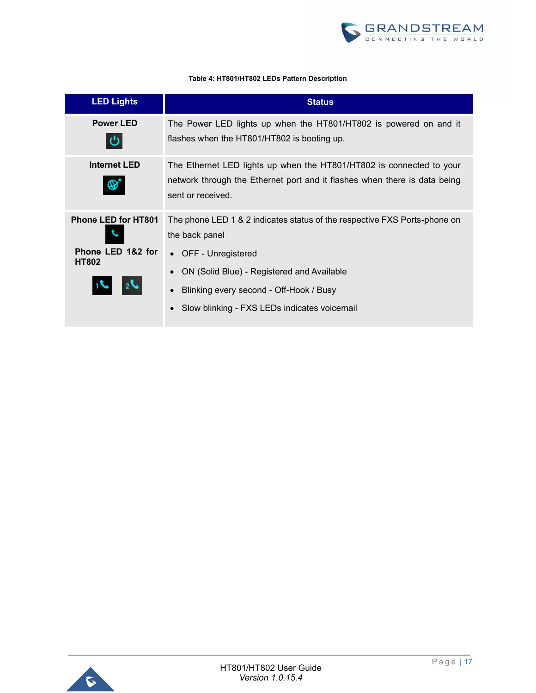

#### **Table 4: HT801/HT802 LEDs Pattern Description**

<span id="page-17-0"></span>

| <b>LED Lights</b>                 | <b>Status</b>                                                                                                                                                                                        |  |  |
|-----------------------------------|------------------------------------------------------------------------------------------------------------------------------------------------------------------------------------------------------|--|--|
| <b>Power LED</b>                  | The Power LED lights up when the HT801/HT802 is powered on and it<br>flashes when the HT801/HT802 is booting up.                                                                                     |  |  |
| <b>Internet LED</b>               | The Ethernet LED lights up when the HT801/HT802 is connected to your<br>network through the Ethernet port and it flashes when there is data being<br>sent or received.                               |  |  |
| <b>Phone LED for HT801</b>        | The phone LED 1 & 2 indicates status of the respective FXS Ports-phone on<br>the back panel                                                                                                          |  |  |
| Phone LED 1&2 for<br><b>HT802</b> | • OFF - Unregistered<br>ON (Solid Blue) - Registered and Available<br>$\bullet$<br>Blinking every second - Off-Hook / Busy<br>$\bullet$<br>Slow blinking - FXS LEDs indicates voicemail<br>$\bullet$ |  |  |

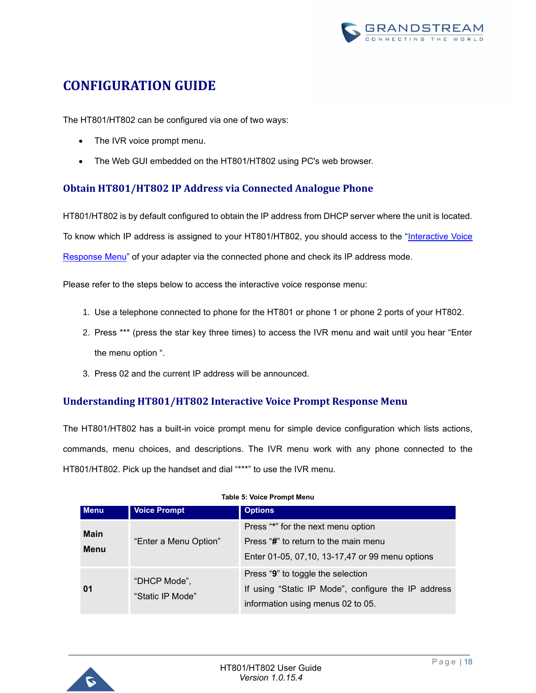

## <span id="page-18-0"></span>**CONFIGURATION GUIDE**

The HT801/HT802 can be configured via one of two ways:

- The IVR voice prompt menu.
- The Web GUI embedded on the HT801/HT802 using PC's web browser.

## <span id="page-18-1"></span>**Obtain HT801/HT802 IP Address via Connected Analogue Phone**

HT801/HT802 is by default configured to obtain the IP address from DHCP server where the unit is located. To know which IP address is assigned to your HT801/HT802, you should access to the ["Interactive Voice](#page-18-2)  [Response Menu"](#page-18-2) of your adapter via the connected phone and check its IP address mode.

Please refer to the steps below to access the interactive voice response menu:

- 1. Use a telephone connected to phone for the HT801 or phone 1 or phone 2 ports of your HT802.
- 2. Press \*\*\* (press the star key three times) to access the IVR menu and wait until you hear "Enter the menu option ".
- 3. Press 02 and the current IP address will be announced.

## <span id="page-18-2"></span>**Understanding HT801/HT802 Interactive Voice Prompt Response Menu**

The HT801/HT802 has a built-in voice prompt menu for simple device configuration which lists actions, commands, menu choices, and descriptions. The IVR menu work with any phone connected to the HT801/HT802. Pick up the handset and dial "\*\*\*" to use the IVR menu.

<span id="page-18-3"></span>

| <b>Menu</b>                | <b>Voice Prompt</b>              | <b>Options</b>                                                                                                                  |
|----------------------------|----------------------------------|---------------------------------------------------------------------------------------------------------------------------------|
| <b>Main</b><br><b>Menu</b> | "Enter a Menu Option"            | Press "*" for the next menu option<br>Press "#" to return to the main menu<br>Enter 01-05, 07, 10, 13-17, 47 or 99 menu options |
| 01                         | "DHCP Mode",<br>"Static IP Mode" | Press "9" to toggle the selection<br>If using "Static IP Mode", configure the IP address<br>information using menus 02 to 05.   |

#### **Table 5: Voice Prompt Menu**

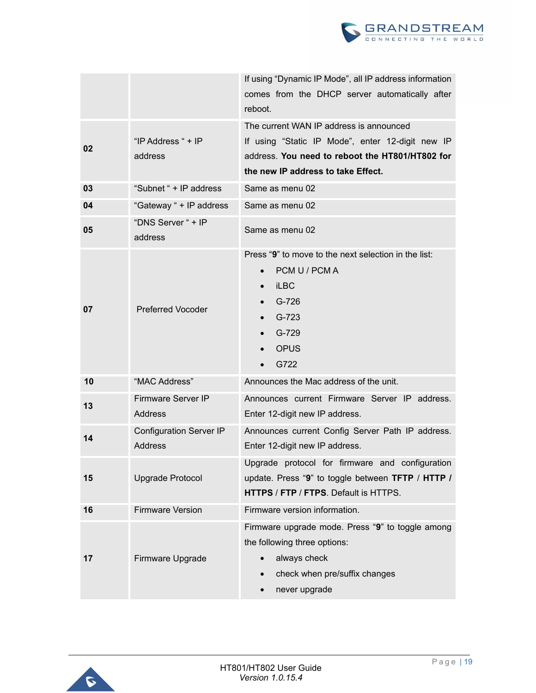

|    |                                                  | If using "Dynamic IP Mode", all IP address information<br>comes from the DHCP server automatically after<br>reboot.                                                                       |  |
|----|--------------------------------------------------|-------------------------------------------------------------------------------------------------------------------------------------------------------------------------------------------|--|
| 02 | "IP Address " + IP<br>address                    | The current WAN IP address is announced<br>If using "Static IP Mode", enter 12-digit new IP<br>address. You need to reboot the HT801/HT802 for<br>the new IP address to take Effect.      |  |
| 03 | "Subnet " + IP address                           | Same as menu 02                                                                                                                                                                           |  |
| 04 | "Gateway " + IP address                          | Same as menu 02                                                                                                                                                                           |  |
| 05 | "DNS Server " + IP<br>address                    | Same as menu 02                                                                                                                                                                           |  |
| 07 | <b>Preferred Vocoder</b>                         | Press "9" to move to the next selection in the list:<br>PCM U / PCM A<br><b>iLBC</b><br>$G-726$<br>G-723<br>G-729<br><b>OPUS</b><br>G722                                                  |  |
| 10 | "MAC Address"                                    | Announces the Mac address of the unit.                                                                                                                                                    |  |
| 13 | <b>Firmware Server IP</b><br><b>Address</b>      | Announces current Firmware Server IP address.<br>Enter 12-digit new IP address.                                                                                                           |  |
| 14 | <b>Configuration Server IP</b><br><b>Address</b> | Announces current Config Server Path IP address.<br>Enter 12-digit new IP address.                                                                                                        |  |
| 15 | <b>Upgrade Protocol</b>                          | Upgrade protocol for firmware and configuration<br>update. Press "9" to toggle between TFTP / HTTP /<br>HTTPS / FTP / FTPS. Default is HTTPS.                                             |  |
| 16 | <b>Firmware Version</b>                          | Firmware version information.                                                                                                                                                             |  |
| 17 | Firmware Upgrade                                 | Firmware upgrade mode. Press "9" to toggle among<br>the following three options:<br>always check<br>$\bullet$<br>check when pre/suffix changes<br>$\bullet$<br>never upgrade<br>$\bullet$ |  |

<span id="page-19-0"></span>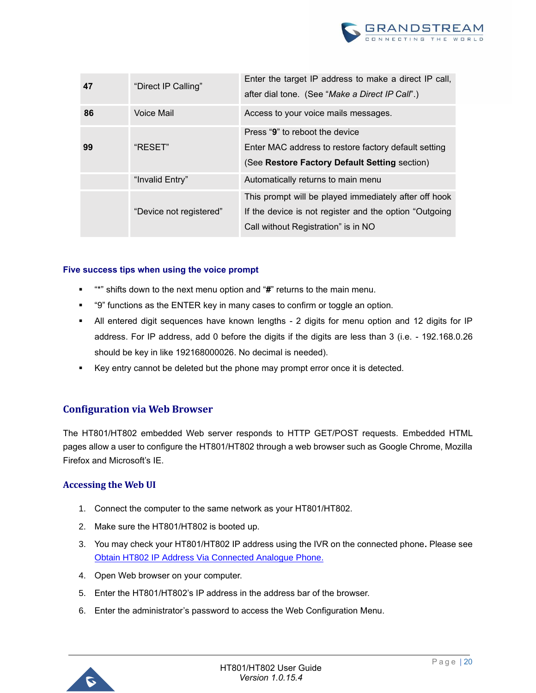

| 47 | "Direct IP Calling"     | Enter the target IP address to make a direct IP call,<br>after dial tone. (See "Make a Direct IP Call".) |
|----|-------------------------|----------------------------------------------------------------------------------------------------------|
| 86 | Voice Mail              | Access to your voice mails messages.                                                                     |
|    |                         | Press "9" to reboot the device                                                                           |
| 99 | "RESET"                 | Enter MAC address to restore factory default setting                                                     |
|    |                         | (See Restore Factory Default Setting section)                                                            |
|    | "Invalid Entry"         | Automatically returns to main menu                                                                       |
|    |                         | This prompt will be played immediately after off hook                                                    |
|    | "Device not registered" | If the device is not register and the option "Outgoing                                                   |
|    |                         | Call without Registration" is in NO                                                                      |

#### **Five success tips when using the voice prompt**

- **<sup>"\*"</sup>** shifts down to the next menu option and "#" returns to the main menu.
- "9" functions as the ENTER key in many cases to confirm or toggle an option.
- All entered digit sequences have known lengths 2 digits for menu option and 12 digits for IP address. For IP address, add 0 before the digits if the digits are less than 3 (i.e. - 192.168.0.26 should be key in like 192168000026. No decimal is needed).
- Key entry cannot be deleted but the phone may prompt error once it is detected.

### <span id="page-20-0"></span>**Configuration via Web Browser**

The HT801/HT802 embedded Web server responds to HTTP GET/POST requests. Embedded HTML pages allow a user to configure the HT801/HT802 through a web browser such as Google Chrome, Mozilla Firefox and Microsoft's IE.

#### <span id="page-20-1"></span>**Accessing the Web UI**

- 1. Connect the computer to the same network as your HT801/HT802.
- 2. Make sure the HT801/HT802 is booted up.
- 3. You may check your HT801/HT802 IP address using the IVR on the connected phone**.** Please see [Obtain HT802 IP Address Via Connected Analogue Phone.](#page-18-1)
- 4. Open Web browser on your computer.
- 5. Enter the HT801/HT802's IP address in the address bar of the browser.
- 6. Enter the administrator's password to access the Web Configuration Menu.

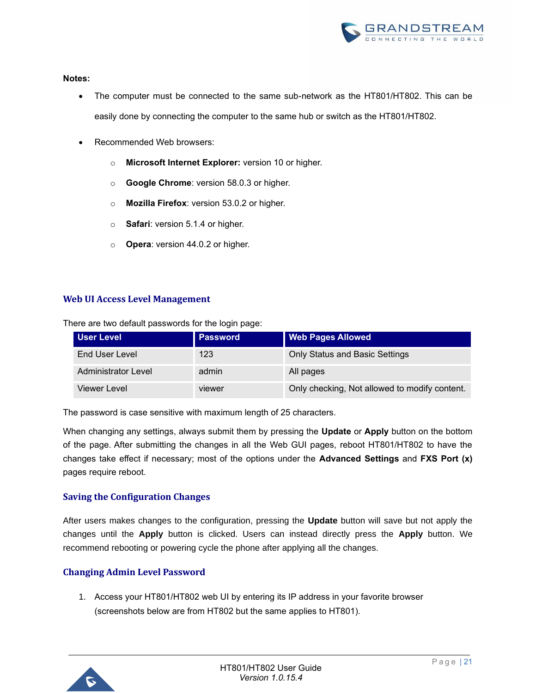

#### **Notes:**

- The computer must be connected to the same sub-network as the HT801/HT802. This can be easily done by connecting the computer to the same hub or switch as the HT801/HT802.
- Recommended Web browsers:
	- o **Microsoft Internet Explorer:** version 10 or higher.
	- o **Google Chrome**: version 58.0.3 or higher.
	- o **Mozilla Firefox**: version 53.0.2 or higher.
	- o **Safari**: version 5.1.4 or higher.
	- o **Opera**: version 44.0.2 or higher.

### <span id="page-21-0"></span>**Web UI Access Level Management**

There are two default passwords for the login page:

| <b>User Level</b>   | <b>Password</b> | <b>Web Pages Allowed</b>                      |
|---------------------|-----------------|-----------------------------------------------|
| End User Level      | 123             | <b>Only Status and Basic Settings</b>         |
| Administrator Level | admin           | All pages                                     |
| Viewer Level        | viewer          | Only checking, Not allowed to modify content. |

The password is case sensitive with maximum length of 25 characters.

When changing any settings, always submit them by pressing the **Update** or **Apply** button on the bottom of the page. After submitting the changes in all the Web GUI pages, reboot HT801/HT802 to have the changes take effect if necessary; most of the options under the **Advanced Settings** and **FXS Port (x)**  pages require reboot.

### <span id="page-21-1"></span>**Saving the Configuration Changes**

After users makes changes to the configuration, pressing the **Update** button will save but not apply the changes until the **Apply** button is clicked. Users can instead directly press the **Apply** button. We recommend rebooting or powering cycle the phone after applying all the changes.

### <span id="page-21-2"></span>**Changing Admin Level Password**

1. Access your HT801/HT802 web UI by entering its IP address in your favorite browser (screenshots below are from HT802 but the same applies to HT801).

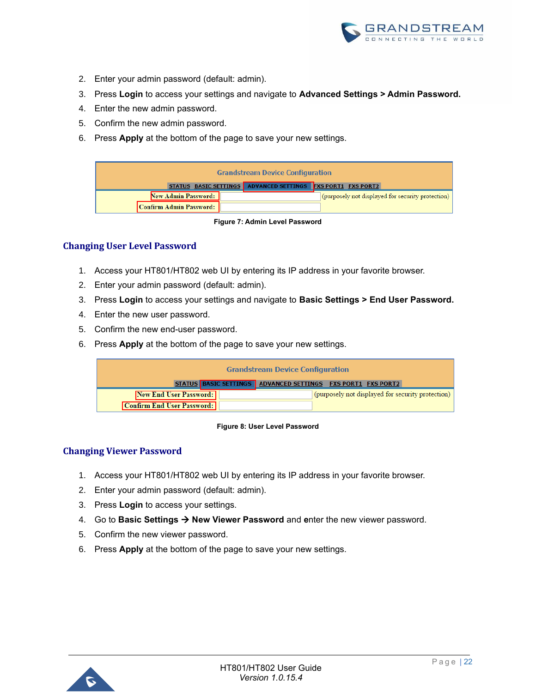

- 2. Enter your admin password (default: admin).
- 3. Press **Login** to access your settings and navigate to **Advanced Settings > Admin Password.**
- 4. Enter the new admin password.
- 5. Confirm the new admin password.
- 6. Press **Apply** at the bottom of the page to save your new settings.

| <b>Grandstream Device Configuration</b>                     |  |  |  |                                                   |
|-------------------------------------------------------------|--|--|--|---------------------------------------------------|
| STATUS BASIC SETTINGS ADVANCED SETTINGS FXS PORT1 FXS PORT2 |  |  |  |                                                   |
| New Admin Password:                                         |  |  |  | (purposely not displayed for security protection) |
| Confirm Admin Password:                                     |  |  |  |                                                   |

**Figure 7: Admin Level Password**

#### <span id="page-22-2"></span><span id="page-22-0"></span>**Changing User Level Password**

- 1. Access your HT801/HT802 web UI by entering its IP address in your favorite browser.
- 2. Enter your admin password (default: admin).
- 3. Press **Login** to access your settings and navigate to **Basic Settings > End User Password.**
- 4. Enter the new user password.
- 5. Confirm the new end-user password.
- 6. Press **Apply** at the bottom of the page to save your new settings.

| <b>Grandstream Device Configuration</b>                     |                                                             |  |  |
|-------------------------------------------------------------|-------------------------------------------------------------|--|--|
|                                                             | STATUS BASIC SETTINGS ADVANCED SETTINGS FXS PORT1 FXS PORT2 |  |  |
| New End User Password:<br><b>Confirm End User Password:</b> | (purposely not displayed for security protection)           |  |  |

#### **Figure 8: User Level Password**

#### <span id="page-22-3"></span><span id="page-22-1"></span>**Changing Viewer Password**

- 1. Access your HT801/HT802 web UI by entering its IP address in your favorite browser.
- 2. Enter your admin password (default: admin).
- 3. Press **Login** to access your settings.
- 4. Go to **Basic Settings** → **New Viewer Password** and **e**nter the new viewer password.
- 5. Confirm the new viewer password.
- 6. Press **Apply** at the bottom of the page to save your new settings.

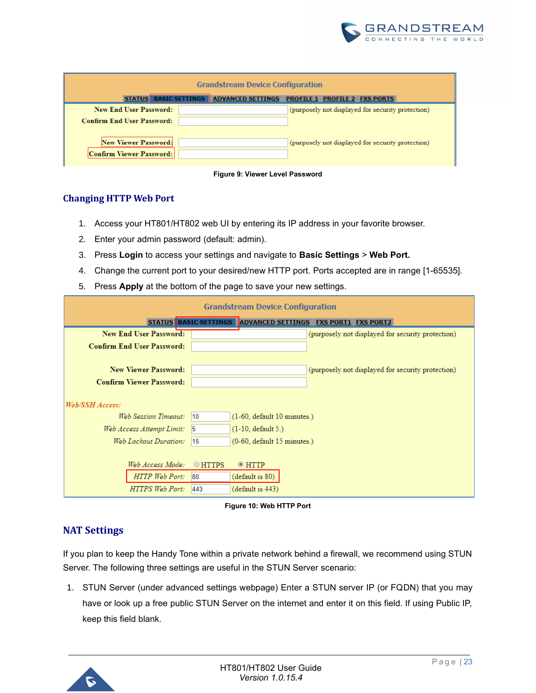

| <b>Grandstream Device Configuration</b>                        |  |                                         |  |                                                   |
|----------------------------------------------------------------|--|-----------------------------------------|--|---------------------------------------------------|
|                                                                |  | STATUS BASIC SETTINGS ADVANCED SETTINGS |  | <b>PROFILE 1 PROFILE 2 FXS PORTS</b>              |
| New End User Password:                                         |  |                                         |  | (purposely not displayed for security protection) |
| <b>Confirm End User Password:</b>                              |  |                                         |  |                                                   |
| <b>New Viewer Password:</b><br><b>Confirm Viewer Password:</b> |  |                                         |  | (purposely not displayed for security protection) |



### <span id="page-23-2"></span><span id="page-23-0"></span>**Changing HTTP Web Port**

- 1. Access your HT801/HT802 web UI by entering its IP address in your favorite browser.
- 2. Enter your admin password (default: admin).
- 3. Press **Login** to access your settings and navigate to **Basic Settings** > **Web Port.**
- 4. Change the current port to your desired/new HTTP port. Ports accepted are in range [1-65535].
- 5. Press **Apply** at the bottom of the page to save your new settings.

| <b>Grandstream Device Configuration</b> |               |                                         |  |                                                   |
|-----------------------------------------|---------------|-----------------------------------------|--|---------------------------------------------------|
|                                         |               | STATUS BASIC SETTINGS ADVANCED SETTINGS |  | <b>FXS PORT1 FXS PORT2</b>                        |
| <b>New End User Password:</b>           |               |                                         |  | (purposely not displayed for security protection) |
| <b>Confirm End User Password:</b>       |               |                                         |  |                                                   |
|                                         |               |                                         |  |                                                   |
| <b>New Viewer Password:</b>             |               |                                         |  | (purposely not displayed for security protection) |
| <b>Confirm Viewer Password:</b>         |               |                                         |  |                                                   |
| Web/SSH Access:                         |               |                                         |  |                                                   |
| Web Session Timeout:                    | 10            | (1-60, default 10 minutes.)             |  |                                                   |
| Web Access Attempt Limit:               | 5             | $(1-10,$ default 5.)                    |  |                                                   |
| Web Lockout Duration:                   | 15            | $(0-60,$ default $15$ minutes.)         |  |                                                   |
|                                         |               |                                         |  |                                                   |
| Web Access Mode:                        | <b>OHTTPS</b> | $\odot$ HTTP                            |  |                                                   |
| HTTP Web Port:                          | 80            | (default is 80)                         |  |                                                   |
| <b>HTTPS Web Port:</b>                  | 443           | (default is 443)                        |  |                                                   |

**Figure 10: Web HTTP Port**

## <span id="page-23-3"></span><span id="page-23-1"></span>**NAT Settings**

If you plan to keep the Handy Tone within a private network behind a firewall, we recommend using STUN Server. The following three settings are useful in the STUN Server scenario:

1. STUN Server (under advanced settings webpage) Enter a STUN server IP (or FQDN) that you may have or look up a free public STUN Server on the internet and enter it on this field. If using Public IP, keep this field blank.

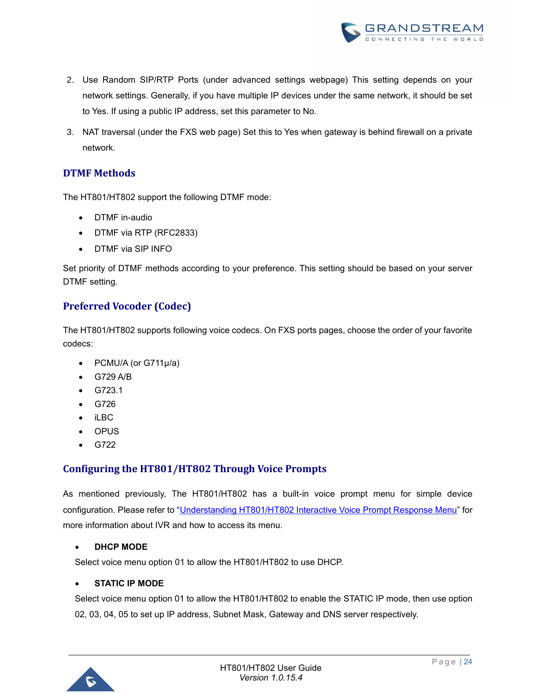

- 2. Use Random SIP/RTP Ports (under advanced settings webpage) This setting depends on your network settings. Generally, if you have multiple IP devices under the same network, it should be set to Yes. If using a public IP address, set this parameter to No.
- 3. NAT traversal (under the FXS web page) Set this to Yes when gateway is behind firewall on a private network.

## <span id="page-24-0"></span>**DTMF Methods**

The HT801/HT802 support the following DTMF mode:

- DTMF in-audio
- DTMF via RTP (RFC2833)
- DTMF via SIP INFO

Set priority of DTMF methods according to your preference. This setting should be based on your server DTMF setting.

## <span id="page-24-1"></span>**Preferred Vocoder (Codec)**

The HT801/HT802 supports following voice codecs. On FXS ports pages, choose the order of your favorite codecs:

- PCMU/A (or G711µ/a)
- G729 A/B
- G723.1
- G726
- iLBC
- OPUS
- G722

## <span id="page-24-2"></span>**Configuring the HT801/HT802 Through Voice Prompts**

As mentioned previously, The HT801/HT802 has a built-in voice prompt menu for simple device configuration. Please refer to ["Understanding HT801/HT802 Interactive Voice Prompt Response Menu"](#page-18-2) for more information about IVR and how to access its menu.

#### • **DHCP MODE**

Select voice menu option 01 to allow the HT801/HT802 to use DHCP.

#### • **STATIC IP MODE**

Select voice menu option 01 to allow the HT801/HT802 to enable the STATIC IP mode, then use option 02, 03, 04, 05 to set up IP address, Subnet Mask, Gateway and DNS server respectively.

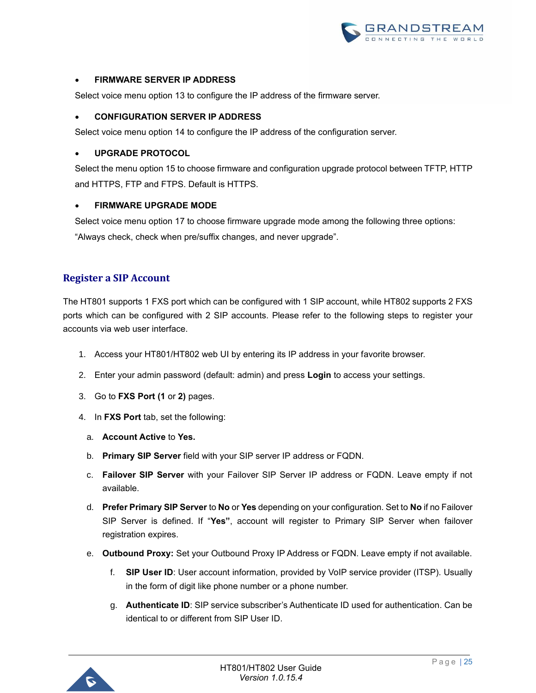

#### • **FIRMWARE SERVER IP ADDRESS**

Select voice menu option 13 to configure the IP address of the firmware server.

#### • **CONFIGURATION SERVER IP ADDRESS**

Select voice menu option 14 to configure the IP address of the configuration server.

#### <span id="page-25-1"></span>• **UPGRADE PROTOCOL**

Select the menu option 15 to choose firmware and configuration upgrade protocol between TFTP, HTTP and HTTPS, FTP and FTPS. Default is HTTPS.

#### • **FIRMWARE UPGRADE MODE**

Select voice menu option 17 to choose firmware upgrade mode among the following three options: "Always check, check when pre/suffix changes, and never upgrade".

### <span id="page-25-0"></span>**Register a SIP Account**

The HT801 supports 1 FXS port which can be configured with 1 SIP account, while HT802 supports 2 FXS ports which can be configured with 2 SIP accounts. Please refer to the following steps to register your accounts via web user interface.

- 1. Access your HT801/HT802 web UI by entering its IP address in your favorite browser.
- 2. Enter your admin password (default: admin) and press **Login** to access your settings.
- 3. Go to **FXS Port (1** or **2)** pages.
- 4. In **FXS Port** tab, set the following:
	- a. **Account Active** to **Yes.**
	- b. **Primary SIP Server** field with your SIP server IP address or FQDN.
	- c. **Failover SIP Server** with your Failover SIP Server IP address or FQDN. Leave empty if not available.
	- d. **Prefer Primary SIP Server** to **No** or **Yes** depending on your configuration. Set to **No** if no Failover SIP Server is defined. If "**Yes"**, account will register to Primary SIP Server when failover registration expires.
	- e. **Outbound Proxy:** Set your Outbound Proxy IP Address or FQDN. Leave empty if not available.
		- f. **SIP User ID**: User account information, provided by VoIP service provider (ITSP). Usually in the form of digit like phone number or a phone number.
		- g. **Authenticate ID**: SIP service subscriber's Authenticate ID used for authentication. Can be identical to or different from SIP User ID.

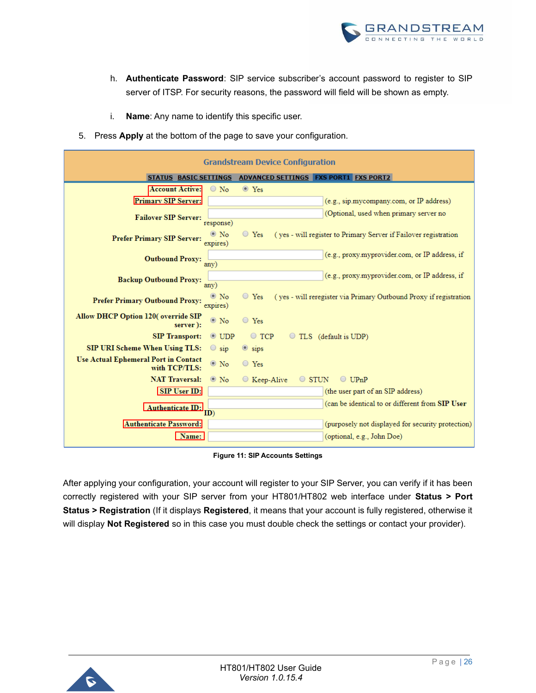

- h. **Authenticate Password**: SIP service subscriber's account password to register to SIP server of ITSP. For security reasons, the password will field will be shown as empty.
- i. **Name**: Any name to identify this specific user.
- 5. Press **Apply** at the bottom of the page to save your configuration.

| <b>Grandstream Device Configuration</b>                             |                                                                                  |  |  |  |  |
|---------------------------------------------------------------------|----------------------------------------------------------------------------------|--|--|--|--|
|                                                                     | STATUS BASIC SETTINGS ADVANCED SETTINGS FXS PORT1 FXS PORT2                      |  |  |  |  |
| <b>Account Active:</b><br>$\circ$ No                                | $\circ$ Yes                                                                      |  |  |  |  |
| <b>Primary SIP Server:</b>                                          | (e.g., sip.mycompany.com, or IP address)                                         |  |  |  |  |
| <b>Failover SIP Server:</b>                                         | (Optional, used when primary server no                                           |  |  |  |  |
| response)                                                           |                                                                                  |  |  |  |  |
| $\odot$ No<br><b>Prefer Primary SIP Server:</b><br>expires)         | $\circ$ Yes<br>(yes - will register to Primary Server if Failover registration   |  |  |  |  |
|                                                                     | (e.g., proxy.myprovider.com, or IP address, if                                   |  |  |  |  |
| <b>Outbound Proxy:</b><br>any)                                      |                                                                                  |  |  |  |  |
| <b>Backup Outbound Proxy:</b>                                       | (e.g., proxy.myprovider.com, or IP address, if                                   |  |  |  |  |
| any)                                                                |                                                                                  |  |  |  |  |
| $\odot$ No<br><b>Prefer Primary Outbound Proxy:</b><br>expires)     | (yes - will reregister via Primary Outbound Proxy if registration<br>$\circ$ Yes |  |  |  |  |
| <b>Allow DHCP Option 120(override SIP</b>                           |                                                                                  |  |  |  |  |
| $\circ$ No<br>server):                                              | $\circ$ Yes                                                                      |  |  |  |  |
| <b>SIP Transport:</b><br>$\odot$ UDP                                | $\circ$ TCP<br>$\circ$ TLS (default is UDP)                                      |  |  |  |  |
| <b>SIP URI Scheme When Using TLS:</b><br>$\circ$ sip                | $\circ$ sips                                                                     |  |  |  |  |
| Use Actual Ephemeral Port in Contact<br>$\circ$ No<br>with TCP/TLS: | $\circ$ Yes                                                                      |  |  |  |  |
| <b>NAT Traversal:</b><br>$\circ$ No                                 | $\circ$ stun<br>$\bigcirc$ UPnP<br>◯ Keep-Alive                                  |  |  |  |  |
| <b>SIP User ID:</b>                                                 | (the user part of an SIP address)                                                |  |  |  |  |
| Authenticate ID:                                                    | (can be identical to or different from SIP User                                  |  |  |  |  |
| (ID                                                                 |                                                                                  |  |  |  |  |
| <b>Authenticate Password:</b>                                       | (purposely not displayed for security protection)                                |  |  |  |  |
| Name:                                                               | (optional, e.g., John Doe)                                                       |  |  |  |  |

#### **Figure 11: SIP Accounts Settings**

<span id="page-26-0"></span>After applying your configuration, your account will register to your SIP Server, you can verify if it has been correctly registered with your SIP server from your HT801/HT802 web interface under **Status > Port Status > Registration** (If it displays **Registered**, it means that your account is fully registered, otherwise it will display **Not Registered** so in this case you must double check the settings or contact your provider).

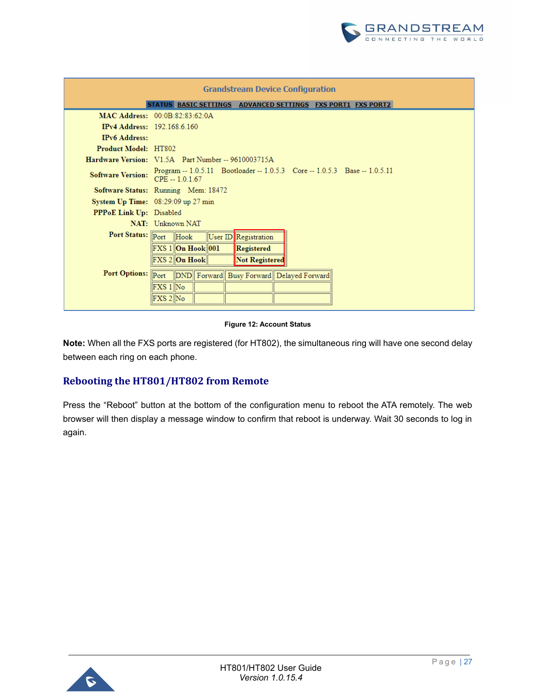

| <b>Grandstream Device Configuration</b> |                                                                                                |  |  |  |
|-----------------------------------------|------------------------------------------------------------------------------------------------|--|--|--|
|                                         | STATUS BASIC SETTINGS ADVANCED SETTINGS FXS PORT1 FXS PORT2                                    |  |  |  |
|                                         | MAC Address: $00.0B - 82.83.62.0A$                                                             |  |  |  |
| <b>IPv4 Address:</b> 192.168.6.160      |                                                                                                |  |  |  |
| <b>IPv6</b> Address:                    |                                                                                                |  |  |  |
| <b>Product Model: HT802</b>             |                                                                                                |  |  |  |
|                                         | Hardware Version: V1.5A Part Number -- 9610003715A                                             |  |  |  |
| <b>Software Version:</b>                | Program -- 1.0.5.11 Bootloader -- 1.0.5.3 Core -- 1.0.5.3 Base -- 1.0.5.11<br>$CPE - 1.0.1.67$ |  |  |  |
|                                         | Software Status: Running Mem: 18472                                                            |  |  |  |
|                                         | System $Up$ Time: $08:29:09$ up 27 min                                                         |  |  |  |
| <b>PPPoE Link Up:</b> Disabled          |                                                                                                |  |  |  |
|                                         | NAT: Unknown NAT                                                                               |  |  |  |
|                                         | Port Status: Port Hook<br>User ID Registration                                                 |  |  |  |
|                                         | $\mathbb{F}$ XS 1 $\ $ On Hook $\ $ 001<br>Registered                                          |  |  |  |
|                                         | FXS 2 On Hook<br>Not Registered                                                                |  |  |  |
|                                         | Port Options: Port DND Forward Busy Forward Delayed Forward                                    |  |  |  |
|                                         | FXS 1∥No                                                                                       |  |  |  |
|                                         | FXS 2∥No                                                                                       |  |  |  |

#### **Figure 12: Account Status**

<span id="page-27-1"></span>**Note:** When all the FXS ports are registered (for HT802), the simultaneous ring will have one second delay between each ring on each phone.

## <span id="page-27-0"></span>**Rebooting the HT801/HT802 from Remote**

Press the "Reboot" button at the bottom of the configuration menu to reboot the ATA remotely. The web browser will then display a message window to confirm that reboot is underway. Wait 30 seconds to log in again.

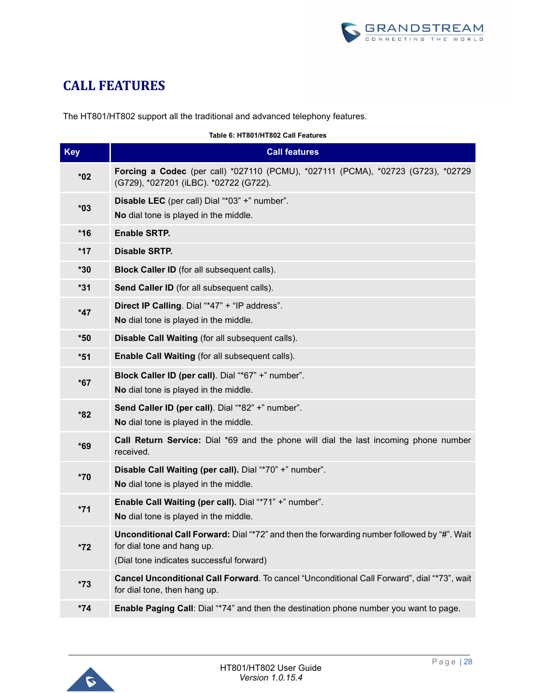

## <span id="page-28-0"></span>**CALL FEATURES**

The HT801/HT802 support all the traditional and advanced telephony features.

#### **Table 6: HT801/HT802 Call Features**

<span id="page-28-1"></span>

| <b>Key</b> | <b>Call features</b>                                                                                                                                                  |
|------------|-----------------------------------------------------------------------------------------------------------------------------------------------------------------------|
| $*02$      | Forcing a Codec (per call) *027110 (PCMU), *027111 (PCMA), *02723 (G723), *02729<br>(G729), *027201 (iLBC). *02722 (G722).                                            |
| $*03$      | Disable LEC (per call) Dial "*03" +" number".<br>No dial tone is played in the middle.                                                                                |
| $*16$      | <b>Enable SRTP.</b>                                                                                                                                                   |
| $*17$      | <b>Disable SRTP.</b>                                                                                                                                                  |
| *30        | <b>Block Caller ID</b> (for all subsequent calls).                                                                                                                    |
| $*31$      | Send Caller ID (for all subsequent calls).                                                                                                                            |
| $*47$      | Direct IP Calling. Dial "*47" + "IP address".<br>No dial tone is played in the middle.                                                                                |
| $*50$      | Disable Call Waiting (for all subsequent calls).                                                                                                                      |
| $*51$      | Enable Call Waiting (for all subsequent calls).                                                                                                                       |
| $*67$      | Block Caller ID (per call). Dial "*67" +" number".<br>No dial tone is played in the middle.                                                                           |
| *82        | Send Caller ID (per call). Dial "*82" +" number".<br>No dial tone is played in the middle.                                                                            |
| $*69$      | <b>Call Return Service:</b> Dial *69 and the phone will dial the last incoming phone number<br>received.                                                              |
| $*70$      | Disable Call Waiting (per call). Dial "*70" +" number".<br>No dial tone is played in the middle.                                                                      |
| $*71$      | Enable Call Waiting (per call). Dial "*71" +" number".<br>No dial tone is played in the middle.                                                                       |
| $*72$      | Unconditional Call Forward: Dial "*72" and then the forwarding number followed by "#". Wait<br>for dial tone and hang up.<br>(Dial tone indicates successful forward) |
| $*73$      | Cancel Unconditional Call Forward. To cancel "Unconditional Call Forward", dial "*73", wait<br>for dial tone, then hang up.                                           |
| $*74$      | Enable Paging Call: Dial "*74" and then the destination phone number you want to page.                                                                                |

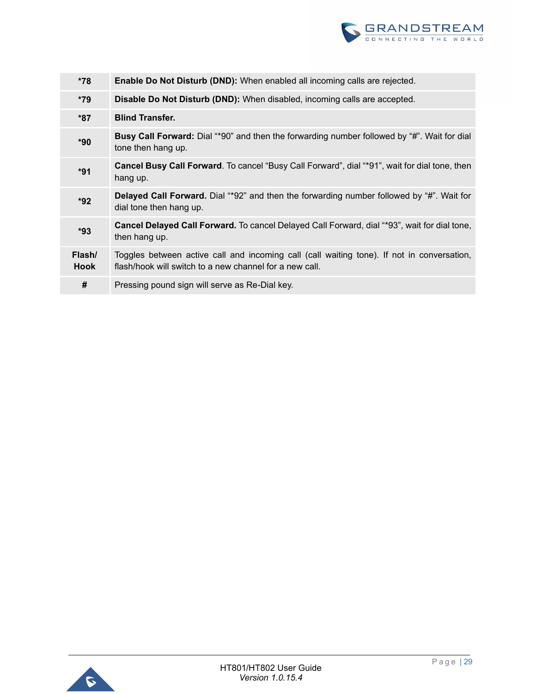

| *78                   | <b>Enable Do Not Disturb (DND):</b> When enabled all incoming calls are rejected.                                                                     |
|-----------------------|-------------------------------------------------------------------------------------------------------------------------------------------------------|
| $*79$                 | Disable Do Not Disturb (DND): When disabled, incoming calls are accepted.                                                                             |
| $*87$                 | <b>Blind Transfer.</b>                                                                                                                                |
| $*90$                 | <b>Busy Call Forward:</b> Dial "*90" and then the forwarding number followed by "#". Wait for dial<br>tone then hang up.                              |
| *91                   | Cancel Busy Call Forward. To cancel "Busy Call Forward", dial "*91", wait for dial tone, then<br>hang up.                                             |
| $*92$                 | <b>Delayed Call Forward.</b> Dial "*92" and then the forwarding number followed by "#". Wait for<br>dial tone then hang up.                           |
| $*93$                 | Cancel Delayed Call Forward. To cancel Delayed Call Forward, dial "*93", wait for dial tone,<br>then hang up.                                         |
| Flash/<br><b>Hook</b> | Toggles between active call and incoming call (call waiting tone). If not in conversation,<br>flash/hook will switch to a new channel for a new call. |
| #                     | Pressing pound sign will serve as Re-Dial key.                                                                                                        |

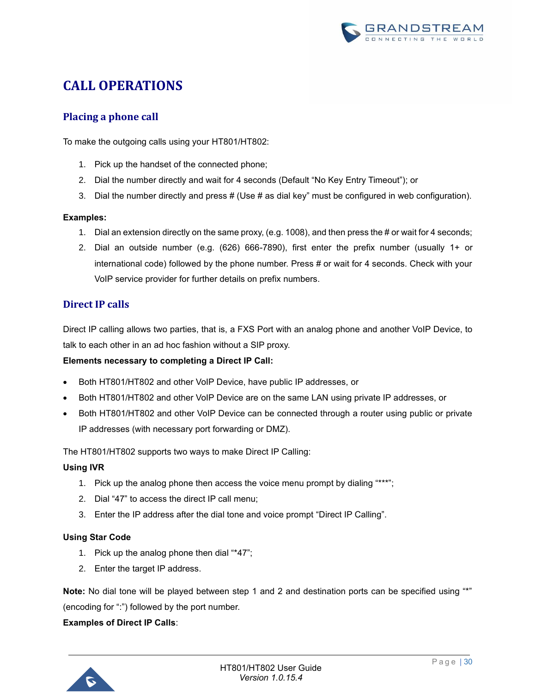

## <span id="page-30-0"></span>**CALL OPERATIONS**

## <span id="page-30-1"></span>**Placing a phone call**

To make the outgoing calls using your HT801/HT802:

- 1. Pick up the handset of the connected phone;
- 2. Dial the number directly and wait for 4 seconds (Default "No Key Entry Timeout"); or
- 3. Dial the number directly and press  $#$  (Use  $#$  as dial key" must be configured in web configuration).

#### **Examples:**

- 1. Dial an extension directly on the same proxy, (e.g. 1008), and then press the # or wait for 4 seconds;
- 2. Dial an outside number (e.g. (626) 666-7890), first enter the prefix number (usually 1+ or international code) followed by the phone number. Press # or wait for 4 seconds. Check with your VoIP service provider for further details on prefix numbers.

## <span id="page-30-2"></span>**Direct IP calls**

Direct IP calling allows two parties, that is, a FXS Port with an analog phone and another VoIP Device, to talk to each other in an ad hoc fashion without a SIP proxy.

#### **Elements necessary to completing a Direct IP Call:**

- Both HT801/HT802 and other VoIP Device, have public IP addresses, or
- Both HT801/HT802 and other VoIP Device are on the same LAN using private IP addresses, or
- Both HT801/HT802 and other VoIP Device can be connected through a router using public or private IP addresses (with necessary port forwarding or DMZ).

The HT801/HT802 supports two ways to make Direct IP Calling:

#### **Using IVR**

- 1. Pick up the analog phone then access the voice menu prompt by dialing "\*\*\*";
- 2. Dial "47" to access the direct IP call menu;
- 3. Enter the IP address after the dial tone and voice prompt "Direct IP Calling".

#### **Using Star Code**

- 1. Pick up the analog phone then dial "\*47";
- 2. Enter the target IP address.

**Note:** No dial tone will be played between step 1 and 2 and destination ports can be specified using "\*" (encoding for ":") followed by the port number.

#### **Examples of Direct IP Calls**:

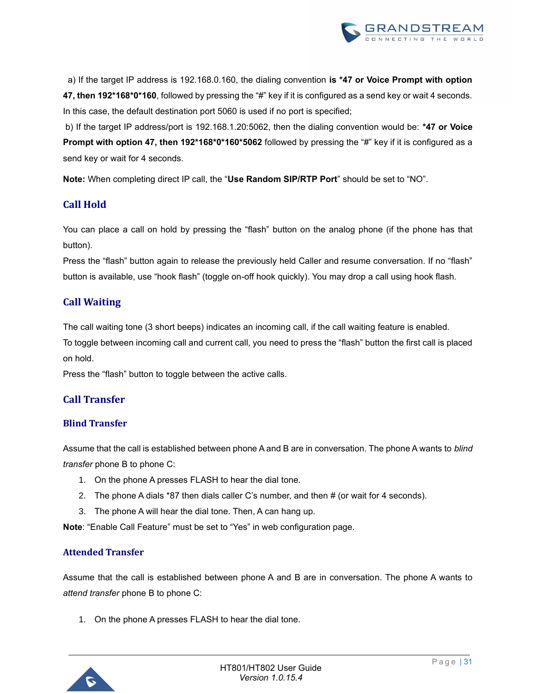

 a) If the target IP address is 192.168.0.160, the dialing convention **is \*47 or Voice Prompt with option 47, then 192\*168\*0\*160**, followed by pressing the "#" key if it is configured as a send key or wait 4 seconds. In this case, the default destination port 5060 is used if no port is specified;

b) If the target IP address/port is 192.168.1.20:5062, then the dialing convention would be: **\*47 or Voice Prompt with option 47, then 192\*168\*0\*160\*5062** followed by pressing the "#" key if it is configured as a send key or wait for 4 seconds.

**Note:** When completing direct IP call, the "**Use Random SIP/RTP Port**" should be set to "NO".

## <span id="page-31-0"></span>**Call Hold**

You can place a call on hold by pressing the "flash" button on the analog phone (if the phone has that button).

Press the "flash" button again to release the previously held Caller and resume conversation. If no "flash" button is available, use "hook flash" (toggle on-off hook quickly). You may drop a call using hook flash.

## <span id="page-31-1"></span>**Call Waiting**

The call waiting tone (3 short beeps) indicates an incoming call, if the call waiting feature is enabled.

To toggle between incoming call and current call, you need to press the "flash" button the first call is placed on hold.

Press the "flash" button to toggle between the active calls.

## <span id="page-31-2"></span>**Call Transfer**

### <span id="page-31-3"></span>**Blind Transfer**

Assume that the call is established between phone A and B are in conversation. The phone A wants to *blind transfer* phone B to phone C:

- 1. On the phone A presses FLASH to hear the dial tone.
- 2. The phone A dials \*87 then dials caller C's number, and then # (or wait for 4 seconds).
- 3. The phone A will hear the dial tone. Then, A can hang up.

**Note**: "Enable Call Feature" must be set to "Yes" in web configuration page.

### <span id="page-31-4"></span>**Attended Transfer**

Assume that the call is established between phone A and B are in conversation. The phone A wants to *attend transfer* phone B to phone C:

1. On the phone A presses FLASH to hear the dial tone.

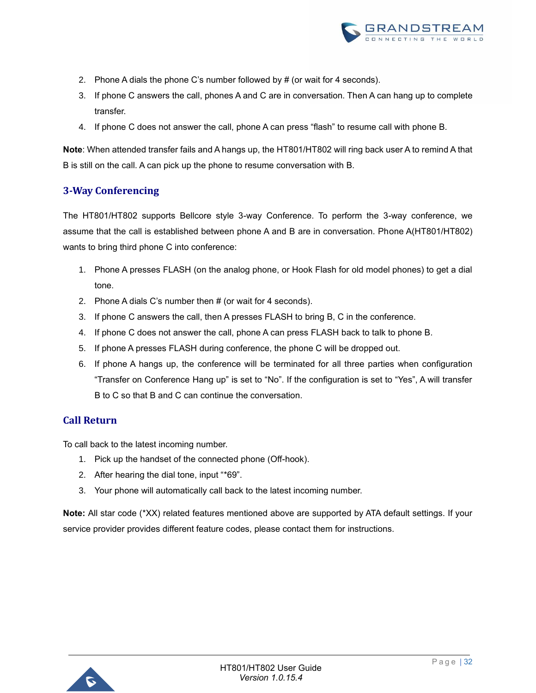

- 2. Phone A dials the phone C's number followed by # (or wait for 4 seconds).
- 3. If phone C answers the call, phones A and C are in conversation. Then A can hang up to complete transfer.
- 4. If phone C does not answer the call, phone A can press "flash" to resume call with phone B.

**Note**: When attended transfer fails and A hangs up, the HT801/HT802 will ring back user A to remind A that B is still on the call. A can pick up the phone to resume conversation with B.

## <span id="page-32-0"></span>**3-Way Conferencing**

The HT801/HT802 supports Bellcore style 3-way Conference. To perform the 3-way conference, we assume that the call is established between phone A and B are in conversation. Phone A(HT801/HT802) wants to bring third phone C into conference:

- 1. Phone A presses FLASH (on the analog phone, or Hook Flash for old model phones) to get a dial tone.
- 2. Phone A dials C's number then # (or wait for 4 seconds).
- 3. If phone C answers the call, then A presses FLASH to bring B, C in the conference.
- 4. If phone C does not answer the call, phone A can press FLASH back to talk to phone B.
- 5. If phone A presses FLASH during conference, the phone C will be dropped out.
- 6. If phone A hangs up, the conference will be terminated for all three parties when configuration "Transfer on Conference Hang up" is set to "No". If the configuration is set to "Yes", A will transfer B to C so that B and C can continue the conversation.

### <span id="page-32-1"></span>**Call Return**

To call back to the latest incoming number.

- 1. Pick up the handset of the connected phone (Off-hook).
- 2. After hearing the dial tone, input "\*69".
- 3. Your phone will automatically call back to the latest incoming number.

**Note:** All star code (\*XX) related features mentioned above are supported by ATA default settings. If your service provider provides different feature codes, please contact them for instructions.

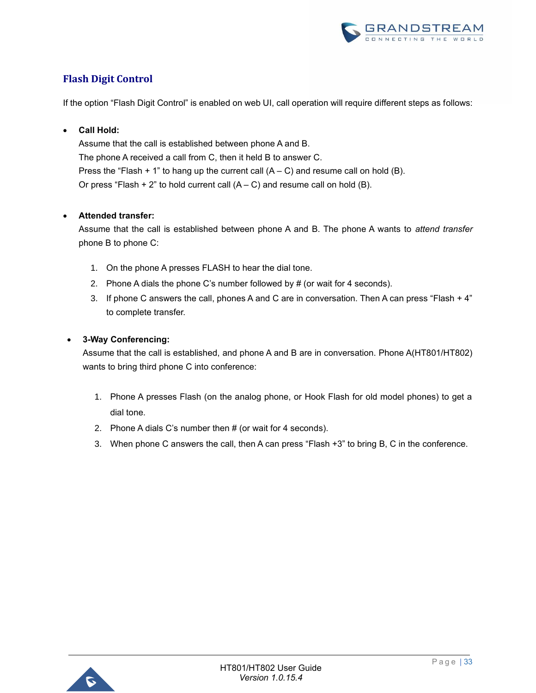

## <span id="page-33-0"></span>**Flash Digit Control**

If the option "Flash Digit Control" is enabled on web UI, call operation will require different steps as follows:

#### • **Call Hold:**

Assume that the call is established between phone A and B. The phone A received a call from C, then it held B to answer C. Press the "Flash + 1" to hang up the current call  $(A - C)$  and resume call on hold (B). Or press "Flash + 2" to hold current call  $(A - C)$  and resume call on hold  $(B)$ .

#### • **Attended transfer:**

Assume that the call is established between phone A and B. The phone A wants to *attend transfer* phone B to phone C:

- 1. On the phone A presses FLASH to hear the dial tone.
- 2. Phone A dials the phone C's number followed by # (or wait for 4 seconds).
- 3. If phone C answers the call, phones A and C are in conversation. Then A can press "Flash + 4" to complete transfer.

#### • **3-Way Conferencing:**

Assume that the call is established, and phone A and B are in conversation. Phone A(HT801/HT802) wants to bring third phone C into conference:

- 1. Phone A presses Flash (on the analog phone, or Hook Flash for old model phones) to get a dial tone.
- 2. Phone A dials C's number then # (or wait for 4 seconds).
- 3. When phone C answers the call, then A can press "Flash +3" to bring B, C in the conference.

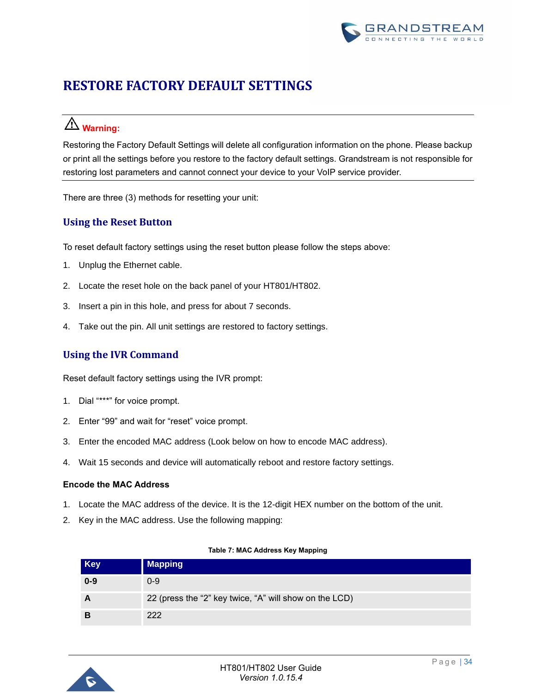

## <span id="page-34-0"></span>**RESTORE FACTORY DEFAULT SETTINGS**

## **Warning:**

Restoring the Factory Default Settings will delete all configuration information on the phone. Please backup or print all the settings before you restore to the factory default settings. Grandstream is not responsible for restoring lost parameters and cannot connect your device to your VoIP service provider.

There are three (3) methods for resetting your unit:

## <span id="page-34-1"></span>**Using the Reset Button**

To reset default factory settings using the reset button please follow the steps above:

- 1. Unplug the Ethernet cable.
- 2. Locate the reset hole on the back panel of your HT801/HT802.
- 3. Insert a pin in this hole, and press for about 7 seconds.
- 4. Take out the pin. All unit settings are restored to factory settings.

## <span id="page-34-2"></span>**Using the IVR Command**

Reset default factory settings using the IVR prompt:

- 1. Dial "\*\*\*" for voice prompt.
- 2. Enter "99" and wait for "reset" voice prompt.
- 3. Enter the encoded MAC address (Look below on how to encode MAC address).
- 4. Wait 15 seconds and device will automatically reboot and restore factory settings.

#### **Encode the MAC Address**

- 1. Locate the MAC address of the device. It is the 12-digit HEX number on the bottom of the unit.
- 2. Key in the MAC address. Use the following mapping:

<span id="page-34-3"></span>

| <b>Key</b> | <b>Mapping</b>                                         |
|------------|--------------------------------------------------------|
| $0 - 9$    | $0 - 9$                                                |
|            | 22 (press the "2" key twice, "A" will show on the LCD) |
| В          | 222                                                    |

#### **Table 7: MAC Address Key Mapping**

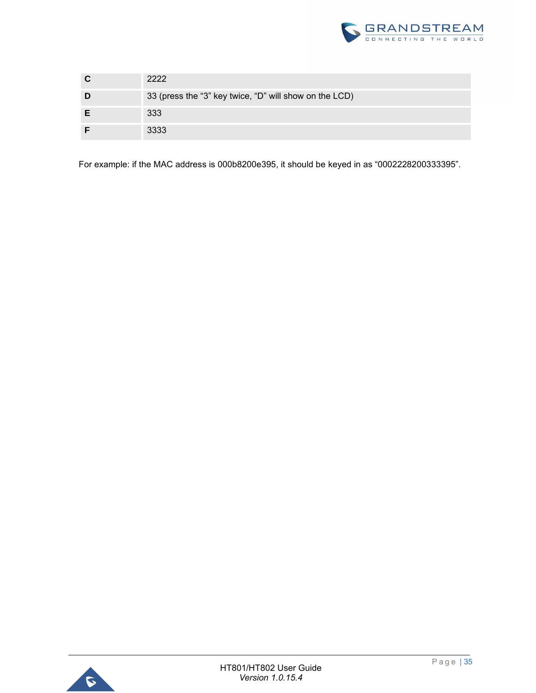

| 2222                                                   |
|--------------------------------------------------------|
| 33 (press the "3" key twice, "D" will show on the LCD) |
| 333                                                    |
| 3333                                                   |

For example: if the MAC address is 000b8200e395, it should be keyed in as "0002228200333395".